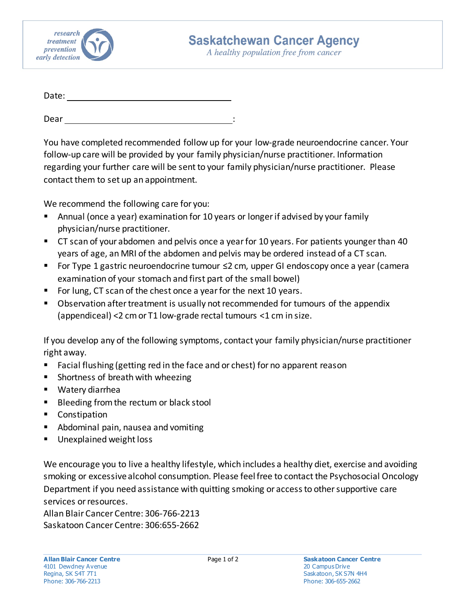

A healthy population free from cancer

| Date: |  |  |
|-------|--|--|
|       |  |  |
| Dear  |  |  |

You have completed recommended follow up for your low-grade neuroendocrine cancer. Your follow-up care will be provided by your family physician/nurse practitioner. Information regarding your further care will be sent to your family physician/nurse practitioner. Please contact them to set up an appointment.

We recommend the following care for you:

- Annual (once a year) examination for 10 years or longer if advised by your family physician/nurse practitioner.
- CT scan of your abdomen and pelvis once a year for 10 years. For patients younger than 40 years of age, an MRI of the abdomen and pelvis may be ordered instead of a CT scan.
- For Type 1 gastric neuroendocrine tumour ≤2 cm, upper GI endoscopy once a year (camera examination of your stomach and first part of the small bowel)
- For lung, CT scan of the chest once a year for the next 10 years.
- Observation after treatment is usually not recommended for tumours of the appendix (appendiceal) <2 cm or T1 low-grade rectal tumours <1 cm in size.

If you develop any of the following symptoms, contact your family physician/nurse practitioner right away.

- **Facial flushing (getting red in the face and or chest) for no apparent reason**
- **Shortness of breath with wheezing**
- Watery diarrhea
- Bleeding from the rectum or black stool
- **Constipation**
- **Abdominal pain, nausea and vomiting**
- **Unexplained weight loss**

We encourage you to live a healthy lifestyle, which includes a healthy diet, exercise and avoiding smoking or excessive alcohol consumption. Please feel free to contact the Psychosocial Oncology Department if you need assistance with quitting smoking or access to other supportive care services or resources.

Allan Blair Cancer Centre: 306-766-2213 Saskatoon Cancer Centre: 306:655-2662